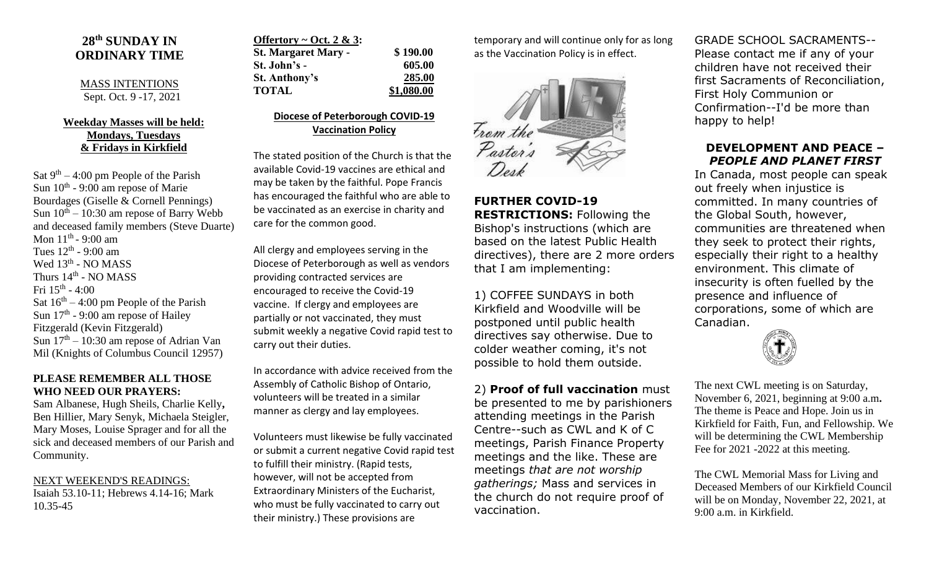# **28 th SUNDAY IN ORDINARY TIME**

#### MASS INTENTIONS Sept. Oct. 9 -17, 2021

## **Weekday Masses will be held: Mondays, Tuesdays & Fridays in Kirkfield**

Sat  $9<sup>th</sup> - 4:00$  pm People of the Parish Sun  $10^{th}$  - 9:00 am repose of Marie Bourdages (Giselle & Cornell Pennings) Sun  $10^{th} - 10:30$  am repose of Barry Webb and deceased family members (Steve Duarte) Mon 11<sup>th</sup> - 9:00 am Tues  $12<sup>th</sup>$  - 9:00 am Wed 13<sup>th</sup> - NO MASS Thurs  $14^{\text{th}}$  - NO MASS Fri  $15^{\text{th}}$  - 4:00 Sat  $16<sup>th</sup> - 4:00$  pm People of the Parish Sun  $17<sup>th</sup>$  - 9:00 am repose of Hailey Fitzgerald (Kevin Fitzgerald) Sun  $17<sup>th</sup> - 10:30$  am repose of Adrian Van Mil (Knights of Columbus Council 12957)

#### **PLEASE REMEMBER ALL THOSE WHO NEED OUR PRAYERS:**

Sam Albanese, Hugh Sheils, Charlie Kelly**,**  Ben Hillier, Mary Senyk, Michaela Steigler, Mary Moses, Louise Sprager and for all the sick and deceased members of our Parish and Community.

NEXT WEEKEND'S READINGS: Isaiah 53.10-11; Hebrews 4.14-16; Mark 10.35-45

| Offertory $\sim$ Oct. 2 & 3: |            |
|------------------------------|------------|
| <b>St. Margaret Mary -</b>   | \$190.00   |
| St. John's -                 | 605.00     |
| <b>St. Anthony's</b>         | 285.00     |
| <b>TOTAL</b>                 | \$1,080.00 |

## **Diocese of Peterborough COVID-19 Vaccination Policy**

The stated position of the Church is that the available Covid-19 vaccines are ethical and may be taken by the faithful. Pope Francis has encouraged the faithful who are able to be vaccinated as an exercise in charity and care for the common good.

All clergy and employees serving in the Diocese of Peterborough as well as vendors providing contracted services are encouraged to receive the Covid-19 vaccine. If clergy and employees are partially or not vaccinated, they must submit weekly a negative Covid rapid test to carry out their duties.

In accordance with advice received from the Assembly of Catholic Bishop of Ontario, volunteers will be treated in a similar manner as clergy and lay employees.

Volunteers must likewise be fully vaccinated or submit a current negative Covid rapid test to fulfill their ministry. (Rapid tests, however, will not be accepted from Extraordinary Ministers of the Eucharist, who must be fully vaccinated to carry out their ministry.) These provisions are

temporary and will continue only for as long as the Vaccination Policy is in effect.



**FURTHER COVID-19 RESTRICTIONS:** Following the Bishop's instructions (which are based on the latest Public Health directives), there are 2 more orders that I am implementing:

1) COFFEE SUNDAYS in both Kirkfield and Woodville will be postponed until public health directives say otherwise. Due to colder weather coming, it's not possible to hold them outside.

2) **Proof of full vaccination** must be presented to me by parishioners attending meetings in the Parish Centre--such as CWL and K of C meetings, Parish Finance Property meetings and the like. These are meetings *that are not worship gatherings;* Mass and services in the church do not require proof of vaccination.

GRADE SCHOOL SACRAMENTS-- Please contact me if any of your children have not received their first Sacraments of Reconciliation, First Holy Communion or Confirmation--I'd be more than happy to help!

## **DEVELOPMENT AND PEACE –** *PEOPLE AND PLANET FIRST*

In Canada, most people can speak out freely when injustice is committed. In many countries of the Global South, however, communities are threatened when they seek to protect their rights, especially their right to a healthy environment. This climate of insecurity is often fuelled by the presence and influence of corporations, some of which are Canadian.



The next CWL meeting is on Saturday, November 6, 2021, beginning at 9:00 a.m**.** The theme is Peace and Hope. Join us in Kirkfield for Faith, Fun, and Fellowship. We will be determining the CWL Membership Fee for 2021 -2022 at this meeting.

The CWL Memorial Mass for Living and Deceased Members of our Kirkfield Council will be on Monday, November 22, 2021, at 9:00 a.m. in Kirkfield.